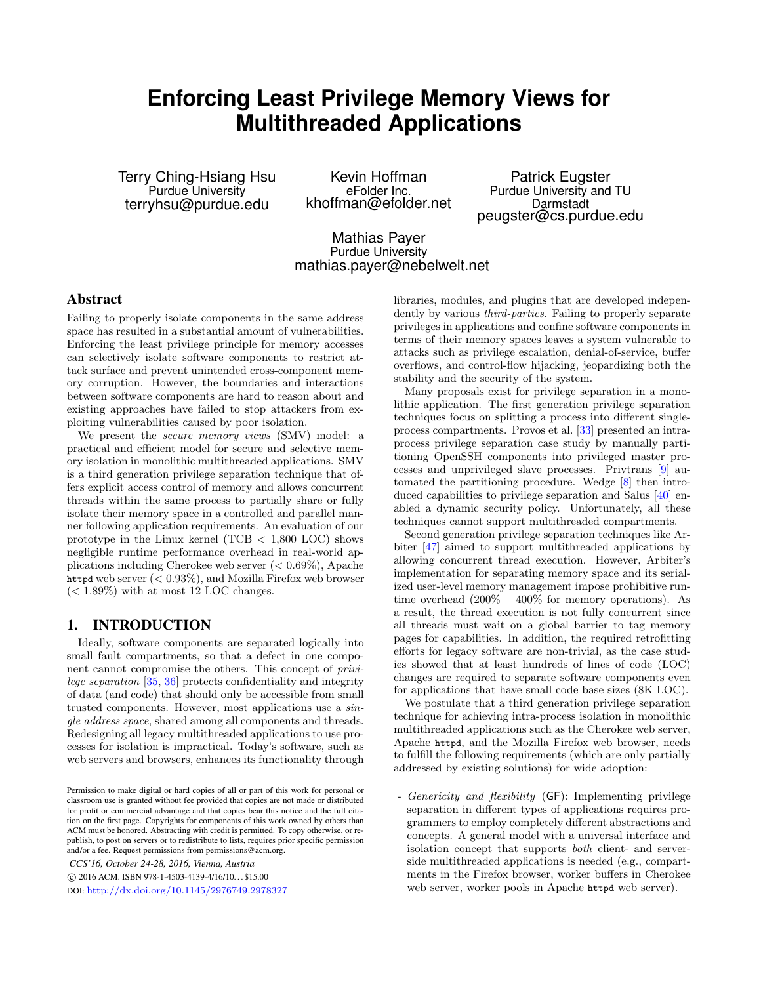# <span id="page-0-0"></span>**Enforcing Least Privilege Memory Views for Multithreaded Applications**

Terry Ching-Hsiang Hsu Purdue University terryhsu@purdue.edu

Kevin Hoffman eFolder Inc. khoffman@efolder.net

Patrick Eugster Purdue University and TU Darmstadt peugster@cs.purdue.edu

Mathias Payer Purdue University mathias.payer@nebelwelt.net

# Abstract

Failing to properly isolate components in the same address space has resulted in a substantial amount of vulnerabilities. Enforcing the least privilege principle for memory accesses can selectively isolate software components to restrict attack surface and prevent unintended cross-component memory corruption. However, the boundaries and interactions between software components are hard to reason about and existing approaches have failed to stop attackers from exploiting vulnerabilities caused by poor isolation.

We present the *secure memory views* (SMV) model: a practical and efficient model for secure and selective memory isolation in monolithic multithreaded applications. SMV is a third generation privilege separation technique that offers explicit access control of memory and allows concurrent threads within the same process to partially share or fully isolate their memory space in a controlled and parallel manner following application requirements. An evaluation of our prototype in the Linux kernel (TCB < 1,800 LOC) shows negligible runtime performance overhead in real-world applications including Cherokee web server (< 0.69%), Apache httpd web server (< 0.93%), and Mozilla Firefox web browser  $(< 1.89\%)$  with at most 12 LOC changes.

# 1. INTRODUCTION

Ideally, software components are separated logically into small fault compartments, so that a defect in one component cannot compromise the others. This concept of privilege separation [\[35,](#page-12-0) [36\]](#page-12-1) protects confidentiality and integrity of data (and code) that should only be accessible from small trusted components. However, most applications use a single address space, shared among all components and threads. Redesigning all legacy multithreaded applications to use processes for isolation is impractical. Today's software, such as web servers and browsers, enhances its functionality through

*CCS'16, October 24-28, 2016, Vienna, Austria*

c 2016 ACM. ISBN 978-1-4503-4139-4/16/10. . . \$15.00

DOI: <http://dx.doi.org/10.1145/2976749.2978327>

libraries, modules, and plugins that are developed independently by various *third-parties*. Failing to properly separate privileges in applications and confine software components in terms of their memory spaces leaves a system vulnerable to attacks such as privilege escalation, denial-of-service, buffer overflows, and control-flow hijacking, jeopardizing both the stability and the security of the system.

Many proposals exist for privilege separation in a monolithic application. The first generation privilege separation techniques focus on splitting a process into different singleprocess compartments. Provos et al. [\[33\]](#page-12-2) presented an intraprocess privilege separation case study by manually partitioning OpenSSH components into privileged master processes and unprivileged slave processes. Privtrans [\[9\]](#page-11-0) automated the partitioning procedure. Wedge [\[8\]](#page-11-1) then introduced capabilities to privilege separation and Salus [\[40\]](#page-12-3) enabled a dynamic security policy. Unfortunately, all these techniques cannot support multithreaded compartments.

Second generation privilege separation techniques like Arbiter [\[47\]](#page-12-4) aimed to support multithreaded applications by allowing concurrent thread execution. However, Arbiter's implementation for separating memory space and its serialized user-level memory management impose prohibitive runtime overhead  $(200\% - 400\%$  for memory operations). As a result, the thread execution is not fully concurrent since all threads must wait on a global barrier to tag memory pages for capabilities. In addition, the required retrofitting efforts for legacy software are non-trivial, as the case studies showed that at least hundreds of lines of code (LOC) changes are required to separate software components even for applications that have small code base sizes (8K LOC).

We postulate that a third generation privilege separation technique for achieving intra-process isolation in monolithic multithreaded applications such as the Cherokee web server, Apache httpd, and the Mozilla Firefox web browser, needs to fulfill the following requirements (which are only partially addressed by existing solutions) for wide adoption:

- Genericity and flexibility (GF): Implementing privilege separation in different types of applications requires programmers to employ completely different abstractions and concepts. A general model with a universal interface and isolation concept that supports both client- and serverside multithreaded applications is needed (e.g., compartments in the Firefox browser, worker buffers in Cherokee web server, worker pools in Apache httpd web server).

Permission to make digital or hard copies of all or part of this work for personal or classroom use is granted without fee provided that copies are not made or distributed for profit or commercial advantage and that copies bear this notice and the full citation on the first page. Copyrights for components of this work owned by others than ACM must be honored. Abstracting with credit is permitted. To copy otherwise, or republish, to post on servers or to redistribute to lists, requires prior specific permission and/or a fee. Request permissions from permissions@acm.org.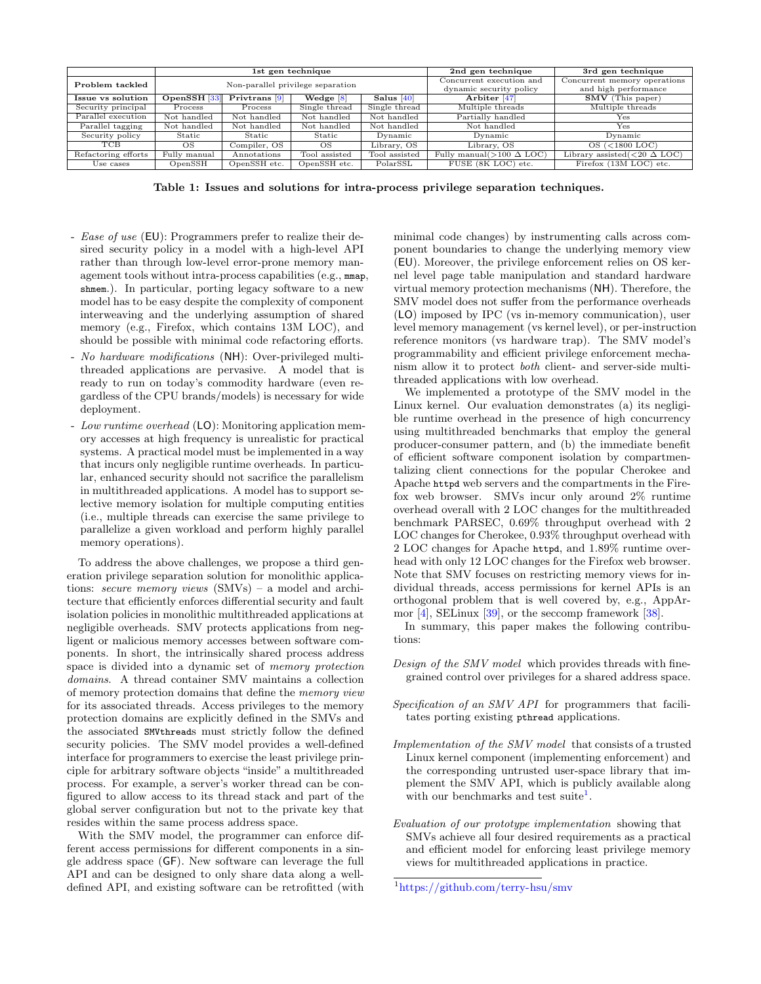|                     | 1st gen technique                 |                          |               |               | 2nd gen technique                                   | 3rd gen technique                                    |
|---------------------|-----------------------------------|--------------------------|---------------|---------------|-----------------------------------------------------|------------------------------------------------------|
| Problem tackled     | Non-parallel privilege separation |                          |               |               | Concurrent execution and<br>dynamic security policy | Concurrent memory operations<br>and high performance |
| Issue vs solution   | OpenSSH [33]                      | Privtrans <sup>[9]</sup> | Wedge [8]     | Salus $[40]$  | Arbiter <sup>[47]</sup>                             | $\overline{\text{SMV}}$ (This paper)                 |
| Security principal  | Process                           | Process                  | Single thread | Single thread | Multiple threads                                    | Multiple threads                                     |
| Parallel execution  | Not handled                       | Not handled              | Not handled   | Not handled   | Partially handled                                   | Yes                                                  |
| Parallel tagging    | Not handled                       | Not handled              | Not handled   | Not handled   | Not handled                                         | Yes                                                  |
| Security policy     | Static                            | Static                   | Static        | Dynamic       | Dynamic                                             | Dynamic                                              |
| <b>TCB</b>          | OS                                | Compiler, OS             | OS            | Library, OS   | Library, OS                                         | $OS$ (<1800 LOC)                                     |
| Refactoring efforts | Fully manual                      | Annotations              | Tool assisted | Tool assisted | Fully manual( $>100 \Delta$ LOC)                    | Library assisted $(<20 \Delta$ LOC)                  |
| Use cases           | OpenSSH                           | OpenSSH etc.             | OpenSSH etc.  | PolarSSL      | FUSE (8K LOC) etc.                                  | Firefox (13M LOC) etc.                               |

Table 1: Issues and solutions for intra-process privilege separation techniques.

- Ease of use (EU): Programmers prefer to realize their desired security policy in a model with a high-level API rather than through low-level error-prone memory management tools without intra-process capabilities (e.g., mmap, shmem.). In particular, porting legacy software to a new model has to be easy despite the complexity of component interweaving and the underlying assumption of shared memory (e.g., Firefox, which contains 13M LOC), and should be possible with minimal code refactoring efforts.
- No hardware modifications (NH): Over-privileged multithreaded applications are pervasive. A model that is ready to run on today's commodity hardware (even regardless of the CPU brands/models) is necessary for wide deployment.
- Low runtime overhead (LO): Monitoring application memory accesses at high frequency is unrealistic for practical systems. A practical model must be implemented in a way that incurs only negligible runtime overheads. In particular, enhanced security should not sacrifice the parallelism in multithreaded applications. A model has to support selective memory isolation for multiple computing entities (i.e., multiple threads can exercise the same privilege to parallelize a given workload and perform highly parallel memory operations).

To address the above challenges, we propose a third generation privilege separation solution for monolithic applications: secure memory views (SMVs) – a model and architecture that efficiently enforces differential security and fault isolation policies in monolithic multithreaded applications at negligible overheads. SMV protects applications from negligent or malicious memory accesses between software components. In short, the intrinsically shared process address space is divided into a dynamic set of memory protection domains. A thread container SMV maintains a collection of memory protection domains that define the memory view for its associated threads. Access privileges to the memory protection domains are explicitly defined in the SMVs and the associated SMVthreads must strictly follow the defined security policies. The SMV model provides a well-defined interface for programmers to exercise the least privilege principle for arbitrary software objects "inside" a multithreaded process. For example, a server's worker thread can be configured to allow access to its thread stack and part of the global server configuration but not to the private key that resides within the same process address space.

With the SMV model, the programmer can enforce different access permissions for different components in a single address space (GF). New software can leverage the full API and can be designed to only share data along a welldefined API, and existing software can be retrofitted (with

minimal code changes) by instrumenting calls across component boundaries to change the underlying memory view (EU). Moreover, the privilege enforcement relies on OS kernel level page table manipulation and standard hardware virtual memory protection mechanisms (NH). Therefore, the SMV model does not suffer from the performance overheads (LO) imposed by IPC (vs in-memory communication), user level memory management (vs kernel level), or per-instruction reference monitors (vs hardware trap). The SMV model's programmability and efficient privilege enforcement mechanism allow it to protect both client- and server-side multithreaded applications with low overhead.

We implemented a prototype of the SMV model in the Linux kernel. Our evaluation demonstrates (a) its negligible runtime overhead in the presence of high concurrency using multithreaded benchmarks that employ the general producer-consumer pattern, and (b) the immediate benefit of efficient software component isolation by compartmentalizing client connections for the popular Cherokee and Apache httpd web servers and the compartments in the Firefox web browser. SMVs incur only around 2% runtime overhead overall with 2 LOC changes for the multithreaded benchmark PARSEC, 0.69% throughput overhead with 2 LOC changes for Cherokee, 0.93% throughput overhead with 2 LOC changes for Apache httpd, and 1.89% runtime overhead with only 12 LOC changes for the Firefox web browser. Note that SMV focuses on restricting memory views for individual threads, access permissions for kernel APIs is an orthogonal problem that is well covered by, e.g., AppArmor [\[4\]](#page-11-2), SELinux [\[39\]](#page-12-5), or the seccomp framework [\[38\]](#page-12-6).

In summary, this paper makes the following contributions:

- Design of the SMV model which provides threads with finegrained control over privileges for a shared address space.
- Specification of an SMV API for programmers that facilitates porting existing pthread applications.
- Implementation of the SMV model that consists of a trusted Linux kernel component (implementing enforcement) and the corresponding untrusted user-space library that implement the SMV API, which is publicly available along with our benchmarks and test suite<sup>[1](#page-0-0)</sup>.
- Evaluation of our prototype implementation showing that SMVs achieve all four desired requirements as a practical and efficient model for enforcing least privilege memory views for multithreaded applications in practice.

<sup>1</sup><https://github.com/terry-hsu/smv>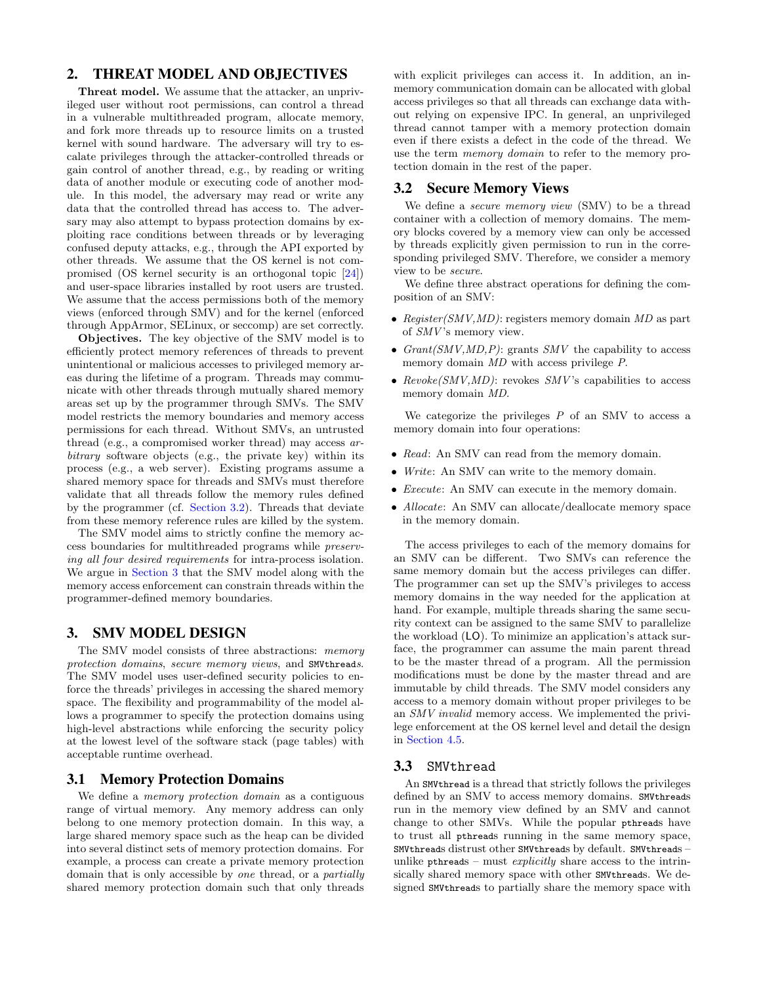# 2. THREAT MODEL AND OBJECTIVES

Threat model. We assume that the attacker, an unprivileged user without root permissions, can control a thread in a vulnerable multithreaded program, allocate memory, and fork more threads up to resource limits on a trusted kernel with sound hardware. The adversary will try to escalate privileges through the attacker-controlled threads or gain control of another thread, e.g., by reading or writing data of another module or executing code of another module. In this model, the adversary may read or write any data that the controlled thread has access to. The adversary may also attempt to bypass protection domains by exploiting race conditions between threads or by leveraging confused deputy attacks, e.g., through the API exported by other threads. We assume that the OS kernel is not compromised (OS kernel security is an orthogonal topic [\[24\]](#page-11-3)) and user-space libraries installed by root users are trusted. We assume that the access permissions both of the memory views (enforced through SMV) and for the kernel (enforced through AppArmor, SELinux, or seccomp) are set correctly.

Objectives. The key objective of the SMV model is to efficiently protect memory references of threads to prevent unintentional or malicious accesses to privileged memory areas during the lifetime of a program. Threads may communicate with other threads through mutually shared memory areas set up by the programmer through SMVs. The SMV model restricts the memory boundaries and memory access permissions for each thread. Without SMVs, an untrusted thread (e.g., a compromised worker thread) may access arbitrary software objects (e.g., the private key) within its process (e.g., a web server). Existing programs assume a shared memory space for threads and SMVs must therefore validate that all threads follow the memory rules defined by the programmer (cf. [Section 3.2\)](#page-2-0). Threads that deviate from these memory reference rules are killed by the system.

The SMV model aims to strictly confine the memory access boundaries for multithreaded programs while preserving all four desired requirements for intra-process isolation. We argue in [Section 3](#page-2-1) that the SMV model along with the memory access enforcement can constrain threads within the programmer-defined memory boundaries.

## <span id="page-2-1"></span>3. SMV MODEL DESIGN

The SMV model consists of three abstractions: *memory* protection domains, secure memory views, and SMVthreads. The SMV model uses user-defined security policies to enforce the threads' privileges in accessing the shared memory space. The flexibility and programmability of the model allows a programmer to specify the protection domains using high-level abstractions while enforcing the security policy at the lowest level of the software stack (page tables) with acceptable runtime overhead.

#### 3.1 Memory Protection Domains

We define a memory protection domain as a contiguous range of virtual memory. Any memory address can only belong to one memory protection domain. In this way, a large shared memory space such as the heap can be divided into several distinct sets of memory protection domains. For example, a process can create a private memory protection domain that is only accessible by one thread, or a partially shared memory protection domain such that only threads with explicit privileges can access it. In addition, an inmemory communication domain can be allocated with global access privileges so that all threads can exchange data without relying on expensive IPC. In general, an unprivileged thread cannot tamper with a memory protection domain even if there exists a defect in the code of the thread. We use the term memory domain to refer to the memory protection domain in the rest of the paper.

#### <span id="page-2-0"></span>3.2 Secure Memory Views

We define a *secure memory view* (SMV) to be a thread container with a collection of memory domains. The memory blocks covered by a memory view can only be accessed by threads explicitly given permission to run in the corresponding privileged SMV. Therefore, we consider a memory view to be secure.

We define three abstract operations for defining the composition of an SMV:

- Register(SMV,MD): registers memory domain MD as part of SMV 's memory view.
- $Grant(SMV, MD, P)$ : grants  $SMV$  the capability to access memory domain  $MD$  with access privilege P.
- $Reveke(SMV, MD)$ : revokes  $SMV$ 's capabilities to access memory domain MD.

We categorize the privileges  $P$  of an SMV to access a memory domain into four operations:

- Read: An SMV can read from the memory domain.
- Write: An SMV can write to the memory domain.
- *Execute:* An SMV can execute in the memory domain.
- Allocate: An SMV can allocate/deallocate memory space in the memory domain.

The access privileges to each of the memory domains for an SMV can be different. Two SMVs can reference the same memory domain but the access privileges can differ. The programmer can set up the SMV's privileges to access memory domains in the way needed for the application at hand. For example, multiple threads sharing the same security context can be assigned to the same SMV to parallelize the workload (LO). To minimize an application's attack surface, the programmer can assume the main parent thread to be the master thread of a program. All the permission modifications must be done by the master thread and are immutable by child threads. The SMV model considers any access to a memory domain without proper privileges to be an SMV invalid memory access. We implemented the privilege enforcement at the OS kernel level and detail the design in [Section 4.5.](#page-6-0)

### 3.3 SMVthread

An SMVthread is a thread that strictly follows the privileges defined by an SMV to access memory domains. SMVthreads run in the memory view defined by an SMV and cannot change to other SMVs. While the popular pthreads have to trust all pthreads running in the same memory space, SMVthreads distrust other SMVthreads by default. SMVthreads – unlike pthreads – must *explicitly* share access to the intrinsically shared memory space with other SMVthreads. We designed SMVthreads to partially share the memory space with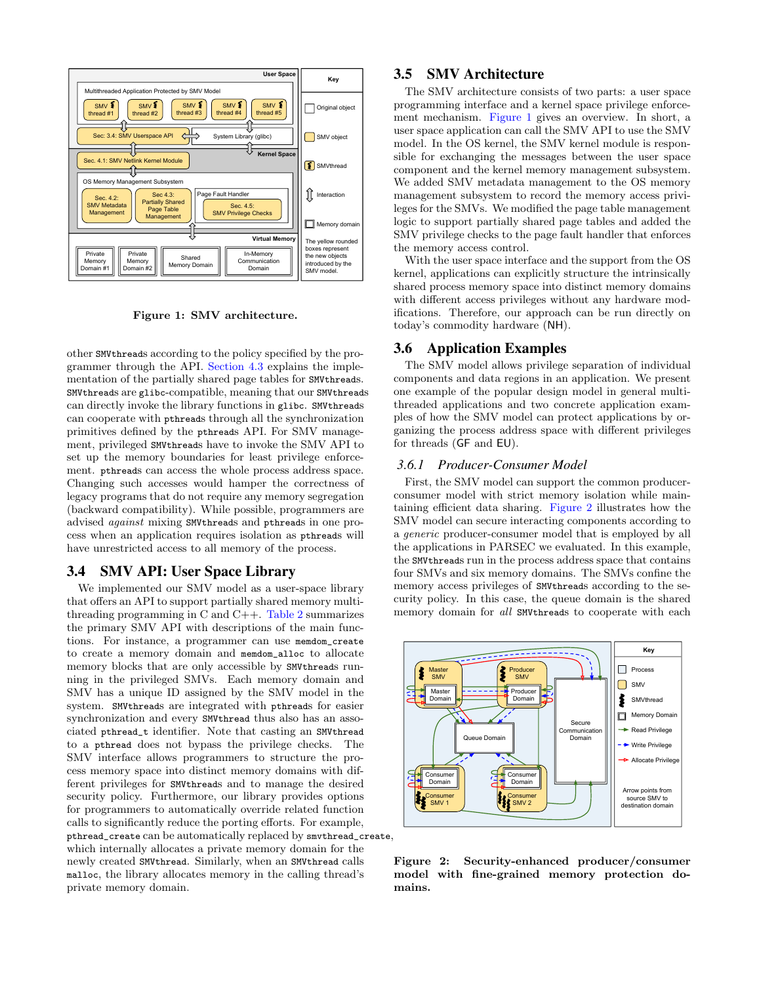

<span id="page-3-0"></span>Figure 1: SMV architecture.

other SMVthreads according to the policy specified by the programmer through the API. [Section 4.3](#page-5-0) explains the implementation of the partially shared page tables for SMVthreads. SMVthreads are glibc-compatible, meaning that our SMVthreads can directly invoke the library functions in glibc. SMVthreads can cooperate with pthreads through all the synchronization primitives defined by the pthreads API. For SMV management, privileged SMVthreads have to invoke the SMV API to set up the memory boundaries for least privilege enforcement. pthreads can access the whole process address space. Changing such accesses would hamper the correctness of legacy programs that do not require any memory segregation (backward compatibility). While possible, programmers are advised against mixing SMVthreads and pthreads in one process when an application requires isolation as pthreads will have unrestricted access to all memory of the process.

#### <span id="page-3-3"></span>3.4 SMV API: User Space Library

We implemented our SMV model as a user-space library that offers an API to support partially shared memory multithreading programming in C and C++. [Table 2](#page-4-0) summarizes the primary SMV API with descriptions of the main functions. For instance, a programmer can use memdom\_create to create a memory domain and memdom\_alloc to allocate memory blocks that are only accessible by SMVthreads running in the privileged SMVs. Each memory domain and SMV has a unique ID assigned by the SMV model in the system. SMVthreads are integrated with pthreads for easier synchronization and every SMVthread thus also has an associated pthread\_t identifier. Note that casting an SMVthread to a pthread does not bypass the privilege checks. The SMV interface allows programmers to structure the process memory space into distinct memory domains with different privileges for SMVthreads and to manage the desired security policy. Furthermore, our library provides options for programmers to automatically override related function calls to significantly reduce the porting efforts. For example, pthread\_create can be automatically replaced by smvthread\_create, which internally allocates a private memory domain for the

newly created SMVthread. Similarly, when an SMVthread calls malloc, the library allocates memory in the calling thread's private memory domain.

# 3.5 SMV Architecture

The SMV architecture consists of two parts: a user space programming interface and a kernel space privilege enforcement mechanism. [Figure 1](#page-3-0) gives an overview. In short, a user space application can call the SMV API to use the SMV model. In the OS kernel, the SMV kernel module is responsible for exchanging the messages between the user space component and the kernel memory management subsystem. We added SMV metadata management to the OS memory management subsystem to record the memory access privileges for the SMVs. We modified the page table management logic to support partially shared page tables and added the SMV privilege checks to the page fault handler that enforces the memory access control.

With the user space interface and the support from the OS kernel, applications can explicitly structure the intrinsically shared process memory space into distinct memory domains with different access privileges without any hardware modifications. Therefore, our approach can be run directly on today's commodity hardware (NH).

# 3.6 Application Examples

The SMV model allows privilege separation of individual components and data regions in an application. We present one example of the popular design model in general multithreaded applications and two concrete application examples of how the SMV model can protect applications by organizing the process address space with different privileges for threads (GF and EU).

#### <span id="page-3-2"></span>*3.6.1 Producer-Consumer Model*

First, the SMV model can support the common producerconsumer model with strict memory isolation while maintaining efficient data sharing. [Figure 2](#page-3-1) illustrates how the SMV model can secure interacting components according to a generic producer-consumer model that is employed by all the applications in PARSEC we evaluated. In this example, the SMVthreads run in the process address space that contains four SMVs and six memory domains. The SMVs confine the memory access privileges of SMVthreads according to the security policy. In this case, the queue domain is the shared memory domain for all SMVthreads to cooperate with each



<span id="page-3-1"></span>Figure 2: Security-enhanced producer/consumer model with fine-grained memory protection domains.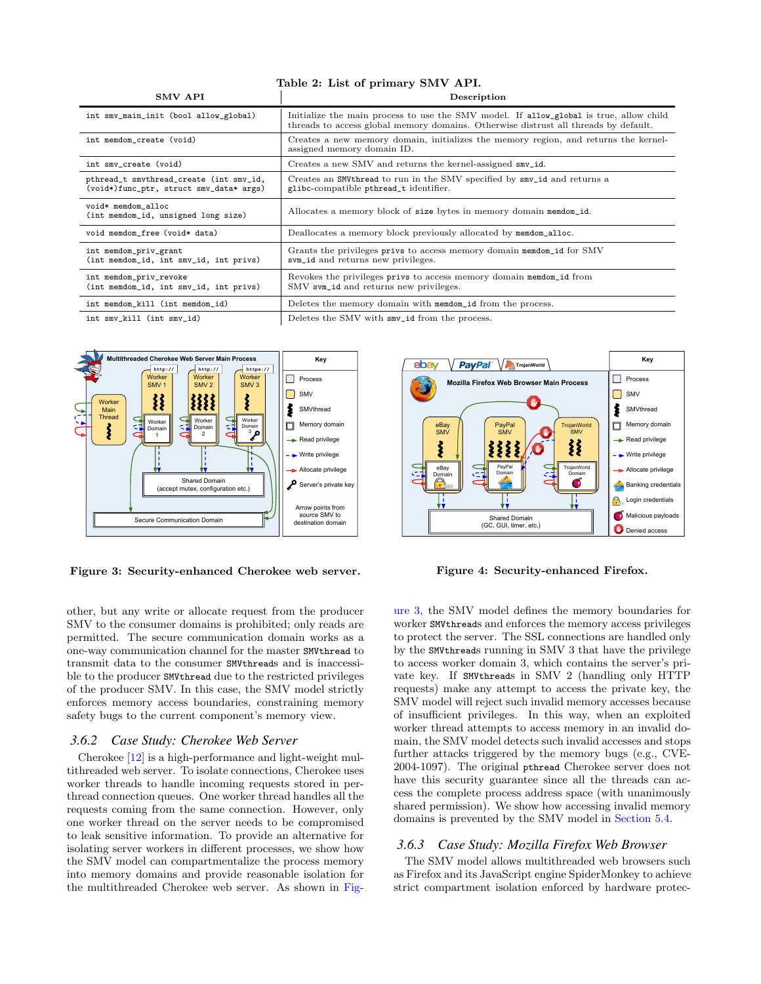#### <span id="page-4-0"></span>Table 2: List of primary SMV API.

| <b>SMV API</b>                                                                     | Description                                                                                                                                                                   |  |  |
|------------------------------------------------------------------------------------|-------------------------------------------------------------------------------------------------------------------------------------------------------------------------------|--|--|
| int smv_main_init (bool allow_global)                                              | Initialize the main process to use the SMV model. If allow global is true, allow child<br>threads to access global memory domains. Otherwise distrust all threads by default. |  |  |
| int memdom_create (void)                                                           | Creates a new memory domain, initializes the memory region, and returns the kernel-<br>assigned memory domain ID.                                                             |  |  |
| int smv_create (void)                                                              | Creates a new SMV and returns the kernel-assigned smv_id.                                                                                                                     |  |  |
| pthread_t smvthread_create (int smv_id,<br>(void*)func_ptr, struct smv_data* args) | Creates an SMV thread to run in the SMV specified by smv_id and returns a<br>glibc-compatible pthread_t identifier.                                                           |  |  |
| void* memdom_alloc<br>(int memdom_id, unsigned long size)                          | Allocates a memory block of size bytes in memory domain memdom_id.                                                                                                            |  |  |
| void memdom_free (void* data)                                                      | Deallocates a memory block previously allocated by memdom_alloc.                                                                                                              |  |  |
| int memdom_priv_grant<br>(int memdom_id, int smv_id, int privs)                    | Grants the privileges privs to access memory domain membom_id for SMV<br>sym_id and returns new privileges.                                                                   |  |  |
| int memdom_priv_revoke<br>(int memdom_id, int smv_id, int privs)                   | Revokes the privileges privs to access memory domain membom_id from<br>SMV sym_id and returns new privileges.                                                                 |  |  |
| int memdom_kill (int memdom_id)                                                    | Deletes the memory domain with memdom_id from the process.                                                                                                                    |  |  |
| int smv_kill (int smv_id)                                                          | Deletes the SMV with smv_id from the process.                                                                                                                                 |  |  |



<span id="page-4-1"></span>Figure 3: Security-enhanced Cherokee web server.

other, but any write or allocate request from the producer SMV to the consumer domains is prohibited; only reads are permitted. The secure communication domain works as a one-way communication channel for the master SMVthread to transmit data to the consumer SMVthreads and is inaccessible to the producer SMVthread due to the restricted privileges of the producer SMV. In this case, the SMV model strictly enforces memory access boundaries, constraining memory safety bugs to the current component's memory view.

#### <span id="page-4-3"></span>*3.6.2 Case Study: Cherokee Web Server*

Cherokee [\[12\]](#page-11-4) is a high-performance and light-weight multithreaded web server. To isolate connections, Cherokee uses worker threads to handle incoming requests stored in perthread connection queues. One worker thread handles all the requests coming from the same connection. However, only one worker thread on the server needs to be compromised to leak sensitive information. To provide an alternative for isolating server workers in different processes, we show how the SMV model can compartmentalize the process memory into memory domains and provide reasonable isolation for the multithreaded Cherokee web server. As shown in [Fig-](#page-4-1)



<span id="page-4-2"></span>Figure 4: Security-enhanced Firefox.

[ure 3,](#page-4-1) the SMV model defines the memory boundaries for worker SMVthreads and enforces the memory access privileges to protect the server. The SSL connections are handled only by the SMVthreads running in SMV 3 that have the privilege to access worker domain 3, which contains the server's private key. If SMVthreads in SMV 2 (handling only HTTP requests) make any attempt to access the private key, the SMV model will reject such invalid memory accesses because of insufficient privileges. In this way, when an exploited worker thread attempts to access memory in an invalid domain, the SMV model detects such invalid accesses and stops further attacks triggered by the memory bugs (e.g., CVE-2004-1097). The original pthread Cherokee server does not have this security guarantee since all the threads can access the complete process address space (with unanimously shared permission). We show how accessing invalid memory domains is prevented by the SMV model in [Section 5.4.](#page-7-0)

#### *3.6.3 Case Study: Mozilla Firefox Web Browser*

The SMV model allows multithreaded web browsers such as Firefox and its JavaScript engine SpiderMonkey to achieve strict compartment isolation enforced by hardware protec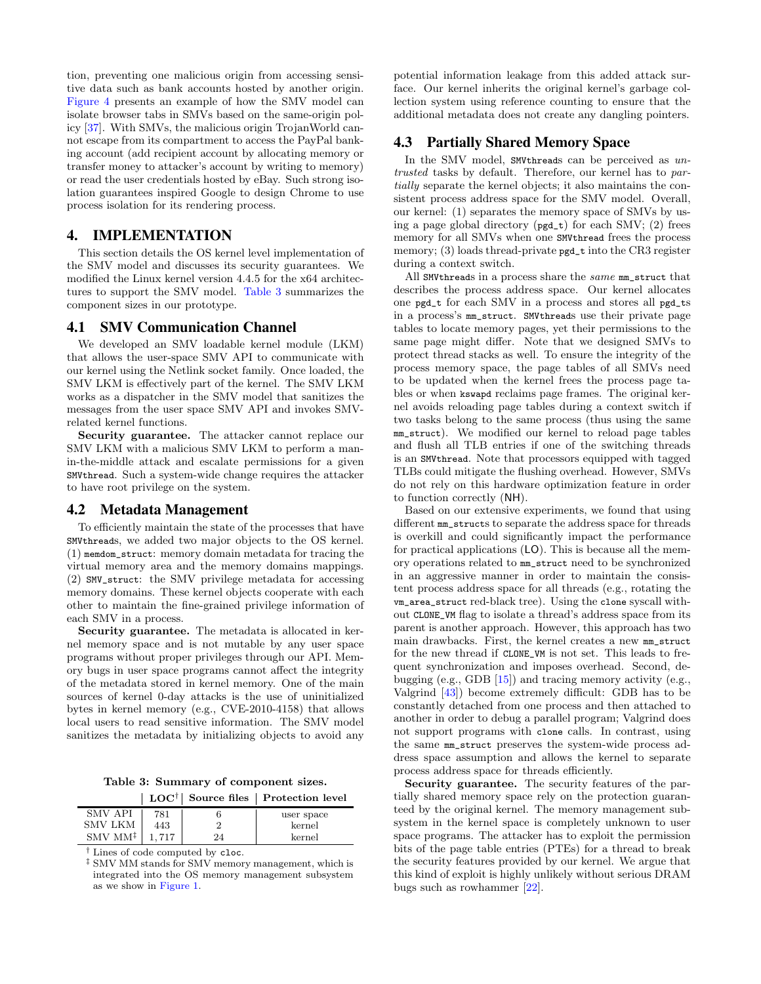tion, preventing one malicious origin from accessing sensitive data such as bank accounts hosted by another origin. [Figure 4](#page-4-2) presents an example of how the SMV model can isolate browser tabs in SMVs based on the same-origin policy [\[37\]](#page-12-7). With SMVs, the malicious origin TrojanWorld cannot escape from its compartment to access the PayPal banking account (add recipient account by allocating memory or transfer money to attacker's account by writing to memory) or read the user credentials hosted by eBay. Such strong isolation guarantees inspired Google to design Chrome to use process isolation for its rendering process.

# <span id="page-5-2"></span>4. IMPLEMENTATION

This section details the OS kernel level implementation of the SMV model and discusses its security guarantees. We modified the Linux kernel version 4.4.5 for the x64 architectures to support the SMV model. [Table 3](#page-5-1) summarizes the component sizes in our prototype.

#### <span id="page-5-3"></span>4.1 SMV Communication Channel

We developed an SMV loadable kernel module (LKM) that allows the user-space SMV API to communicate with our kernel using the Netlink socket family. Once loaded, the SMV LKM is effectively part of the kernel. The SMV LKM works as a dispatcher in the SMV model that sanitizes the messages from the user space SMV API and invokes SMVrelated kernel functions.

Security guarantee. The attacker cannot replace our SMV LKM with a malicious SMV LKM to perform a manin-the-middle attack and escalate permissions for a given SMVthread. Such a system-wide change requires the attacker to have root privilege on the system.

#### <span id="page-5-4"></span>4.2 Metadata Management

To efficiently maintain the state of the processes that have SMVthreads, we added two major objects to the OS kernel. (1) memdom\_struct: memory domain metadata for tracing the virtual memory area and the memory domains mappings. (2) SMV\_struct: the SMV privilege metadata for accessing memory domains. These kernel objects cooperate with each other to maintain the fine-grained privilege information of each SMV in a process.

Security guarantee. The metadata is allocated in kernel memory space and is not mutable by any user space programs without proper privileges through our API. Memory bugs in user space programs cannot affect the integrity of the metadata stored in kernel memory. One of the main sources of kernel 0-day attacks is the use of uninitialized bytes in kernel memory (e.g., CVE-2010-4158) that allows local users to read sensitive information. The SMV model sanitizes the metadata by initializing objects to avoid any

<span id="page-5-1"></span>Table 3: Summary of component sizes.

|                                    |       |    | LOC <sup>†</sup>   Source files   Protection level |
|------------------------------------|-------|----|----------------------------------------------------|
| SMV API                            | 781   |    | user space                                         |
| SMV LKM                            | 443   |    | kernel                                             |
| $\text{SMV} \text{ MM}^{\ddagger}$ | 1.717 | 24 | kernel                                             |

† Lines of code computed by cloc.

‡ SMV MM stands for SMV memory management, which is integrated into the OS memory management subsystem as we show in [Figure 1.](#page-3-0)

potential information leakage from this added attack surface. Our kernel inherits the original kernel's garbage collection system using reference counting to ensure that the additional metadata does not create any dangling pointers.

# <span id="page-5-0"></span>4.3 Partially Shared Memory Space

In the SMV model, SMVthreads can be perceived as untrusted tasks by default. Therefore, our kernel has to partially separate the kernel objects; it also maintains the consistent process address space for the SMV model. Overall, our kernel: (1) separates the memory space of SMVs by using a page global directory (pgd\_t) for each SMV; (2) frees memory for all SMVs when one SMVthread frees the process memory; (3) loads thread-private pgd\_t into the CR3 register during a context switch.

All SMVthreads in a process share the same mm\_struct that describes the process address space. Our kernel allocates one pgd\_t for each SMV in a process and stores all pgd\_ts in a process's mm\_struct. SMVthreads use their private page tables to locate memory pages, yet their permissions to the same page might differ. Note that we designed SMVs to protect thread stacks as well. To ensure the integrity of the process memory space, the page tables of all SMVs need to be updated when the kernel frees the process page tables or when kswapd reclaims page frames. The original kernel avoids reloading page tables during a context switch if two tasks belong to the same process (thus using the same mm\_struct). We modified our kernel to reload page tables and flush all TLB entries if one of the switching threads is an SMVthread. Note that processors equipped with tagged TLBs could mitigate the flushing overhead. However, SMVs do not rely on this hardware optimization feature in order to function correctly (NH).

Based on our extensive experiments, we found that using different mm\_structs to separate the address space for threads is overkill and could significantly impact the performance for practical applications (LO). This is because all the memory operations related to mm\_struct need to be synchronized in an aggressive manner in order to maintain the consistent process address space for all threads (e.g., rotating the vm\_area\_struct red-black tree). Using the clone syscall without CLONE\_VM flag to isolate a thread's address space from its parent is another approach. However, this approach has two main drawbacks. First, the kernel creates a new mm\_struct for the new thread if CLONE\_VM is not set. This leads to frequent synchronization and imposes overhead. Second, debugging (e.g., GDB [\[15\]](#page-11-5)) and tracing memory activity (e.g., Valgrind [\[43\]](#page-12-8)) become extremely difficult: GDB has to be constantly detached from one process and then attached to another in order to debug a parallel program; Valgrind does not support programs with clone calls. In contrast, using the same mm\_struct preserves the system-wide process address space assumption and allows the kernel to separate process address space for threads efficiently.

Security guarantee. The security features of the partially shared memory space rely on the protection guaranteed by the original kernel. The memory management subsystem in the kernel space is completely unknown to user space programs. The attacker has to exploit the permission bits of the page table entries (PTEs) for a thread to break the security features provided by our kernel. We argue that this kind of exploit is highly unlikely without serious DRAM bugs such as rowhammer [\[22\]](#page-11-6).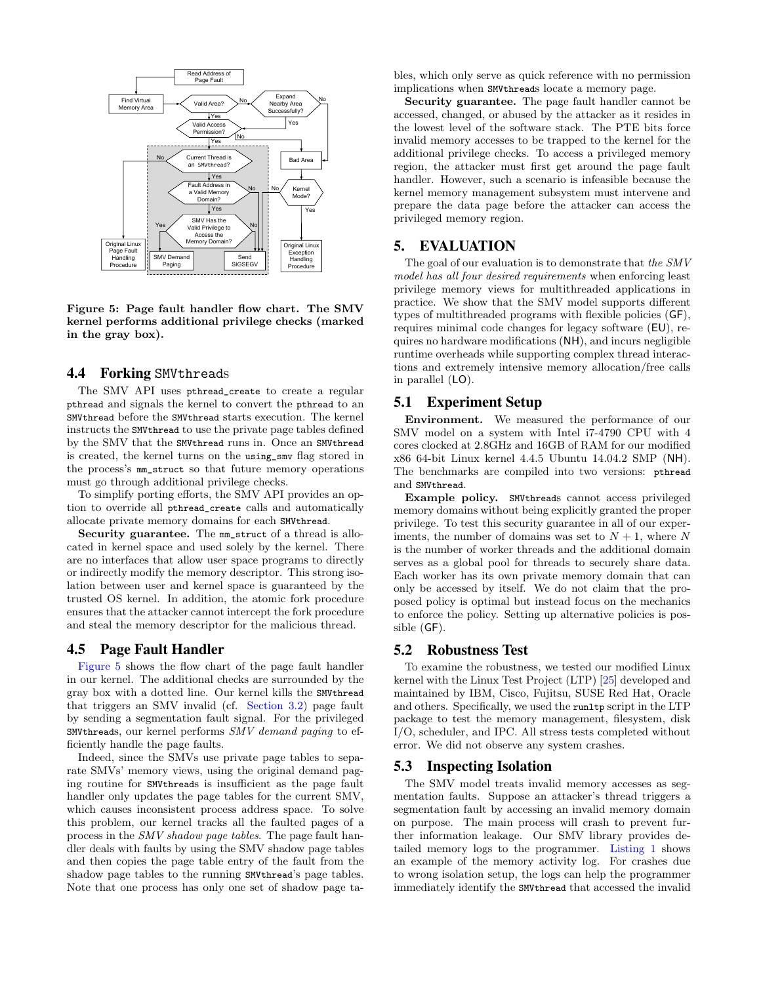

<span id="page-6-1"></span>Figure 5: Page fault handler flow chart. The SMV kernel performs additional privilege checks (marked in the gray box).

#### <span id="page-6-2"></span>4.4 Forking SMVthreads

The SMV API uses pthread\_create to create a regular pthread and signals the kernel to convert the pthread to an SMVthread before the SMVthread starts execution. The kernel instructs the SMVthread to use the private page tables defined by the SMV that the SMVthread runs in. Once an SMVthread is created, the kernel turns on the using\_smv flag stored in the process's mm\_struct so that future memory operations must go through additional privilege checks.

To simplify porting efforts, the SMV API provides an option to override all pthread\_create calls and automatically allocate private memory domains for each SMVthread.

Security guarantee. The mm\_struct of a thread is allocated in kernel space and used solely by the kernel. There are no interfaces that allow user space programs to directly or indirectly modify the memory descriptor. This strong isolation between user and kernel space is guaranteed by the trusted OS kernel. In addition, the atomic fork procedure ensures that the attacker cannot intercept the fork procedure and steal the memory descriptor for the malicious thread.

#### <span id="page-6-0"></span>4.5 Page Fault Handler

[Figure 5](#page-6-1) shows the flow chart of the page fault handler in our kernel. The additional checks are surrounded by the gray box with a dotted line. Our kernel kills the SMVthread that triggers an SMV invalid (cf. [Section 3.2\)](#page-2-0) page fault by sending a segmentation fault signal. For the privileged SMVthreads, our kernel performs SMV demand paging to efficiently handle the page faults.

Indeed, since the SMVs use private page tables to separate SMVs' memory views, using the original demand paging routine for SMVthreads is insufficient as the page fault handler only updates the page tables for the current SMV, which causes inconsistent process address space. To solve this problem, our kernel tracks all the faulted pages of a process in the SMV shadow page tables. The page fault handler deals with faults by using the SMV shadow page tables and then copies the page table entry of the fault from the shadow page tables to the running SMVthread's page tables. Note that one process has only one set of shadow page tables, which only serve as quick reference with no permission implications when SMVthreads locate a memory page.

Security guarantee. The page fault handler cannot be accessed, changed, or abused by the attacker as it resides in the lowest level of the software stack. The PTE bits force invalid memory accesses to be trapped to the kernel for the additional privilege checks. To access a privileged memory region, the attacker must first get around the page fault handler. However, such a scenario is infeasible because the kernel memory management subsystem must intervene and prepare the data page before the attacker can access the privileged memory region.

# 5. EVALUATION

The goal of our evaluation is to demonstrate that the SMV model has all four desired requirements when enforcing least privilege memory views for multithreaded applications in practice. We show that the SMV model supports different types of multithreaded programs with flexible policies (GF), requires minimal code changes for legacy software (EU), requires no hardware modifications (NH), and incurs negligible runtime overheads while supporting complex thread interactions and extremely intensive memory allocation/free calls in parallel (LO).

# 5.1 Experiment Setup

Environment. We measured the performance of our SMV model on a system with Intel i7-4790 CPU with 4 cores clocked at 2.8GHz and 16GB of RAM for our modified x86 64-bit Linux kernel 4.4.5 Ubuntu 14.04.2 SMP (NH). The benchmarks are compiled into two versions: pthread and SMVthread.

Example policy. SMVthreads cannot access privileged memory domains without being explicitly granted the proper privilege. To test this security guarantee in all of our experiments, the number of domains was set to  $N+1$ , where N is the number of worker threads and the additional domain serves as a global pool for threads to securely share data. Each worker has its own private memory domain that can only be accessed by itself. We do not claim that the proposed policy is optimal but instead focus on the mechanics to enforce the policy. Setting up alternative policies is possible (GF).

#### 5.2 Robustness Test

To examine the robustness, we tested our modified Linux kernel with the Linux Test Project (LTP) [\[25\]](#page-11-7) developed and maintained by IBM, Cisco, Fujitsu, SUSE Red Hat, Oracle and others. Specifically, we used the runltp script in the LTP package to test the memory management, filesystem, disk I/O, scheduler, and IPC. All stress tests completed without error. We did not observe any system crashes.

#### 5.3 Inspecting Isolation

The SMV model treats invalid memory accesses as segmentation faults. Suppose an attacker's thread triggers a segmentation fault by accessing an invalid memory domain on purpose. The main process will crash to prevent further information leakage. Our SMV library provides detailed memory logs to the programmer. [Listing 1](#page-7-1) shows an example of the memory activity log. For crashes due to wrong isolation setup, the logs can help the programmer immediately identify the SMVthread that accessed the invalid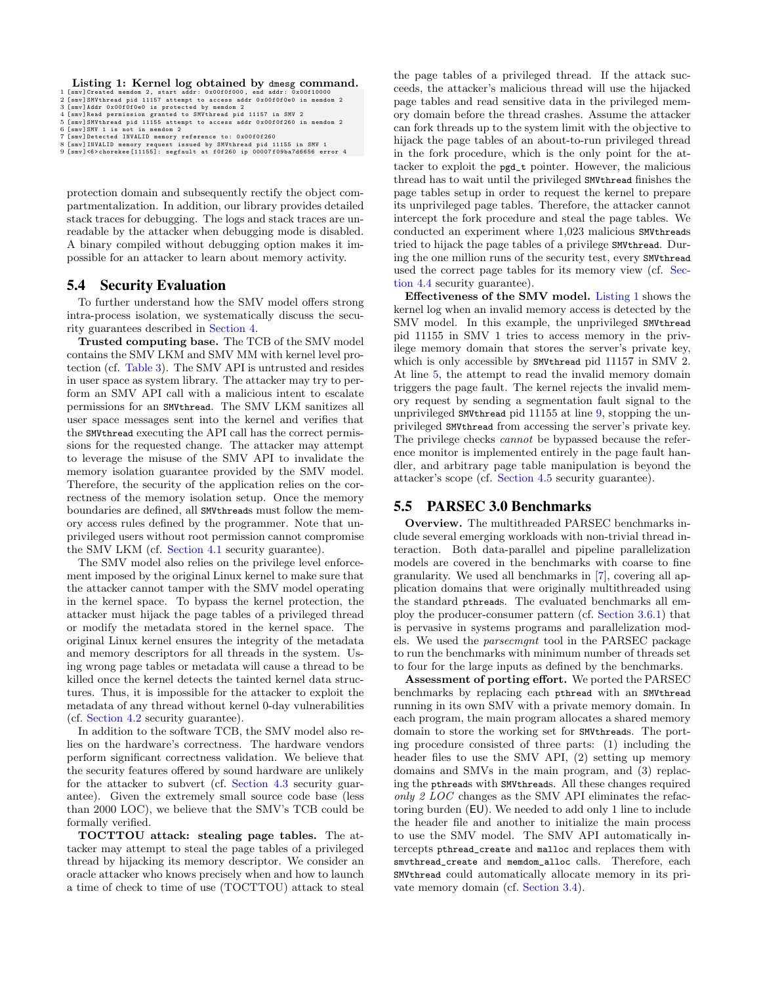#### <span id="page-7-1"></span>Listing 1: Kernel log obtained by dmesg command.

```
1 [smv]Created memdom 2, start addr: 0x00f0f000, end addr: 0x00f10000<br>2 [smv]SMVthread pid 11157 attempt to access addr 0x00f0f0e0 in memdom 2
```

```
3 [smv]Addr 0x00f0f0e0 is protected by memdom 2<br>4 [smv]Read permission granted to SMVthread pid 11157 in SMV 2<br>5 [smv]SMVthread pid 11155 attempt to access addr 0x00f0f260 in memdom 2
```

```
6 [ smv ] SMV 1 is not in memdom 2
```

```
7 [smv]Detected INVALID memory reference to: 0x00f0f260<br>8 [smv]INVALID memory request issued by SMVthread pid 11155 in SMV 1<br>9 [smv]<6>chorekee[11155]: segfault at f0f260 ip 00007f09ba7d6656 error 4
```
protection domain and subsequently rectify the object compartmentalization. In addition, our library provides detailed stack traces for debugging. The logs and stack traces are unreadable by the attacker when debugging mode is disabled. A binary compiled without debugging option makes it impossible for an attacker to learn about memory activity.

# <span id="page-7-0"></span>5.4 Security Evaluation

To further understand how the SMV model offers strong intra-process isolation, we systematically discuss the security guarantees described in [Section 4.](#page-5-2)

Trusted computing base. The TCB of the SMV model contains the SMV LKM and SMV MM with kernel level protection (cf. [Table 3\)](#page-5-1). The SMV API is untrusted and resides in user space as system library. The attacker may try to perform an SMV API call with a malicious intent to escalate permissions for an SMVthread. The SMV LKM sanitizes all user space messages sent into the kernel and verifies that the SMVthread executing the API call has the correct permissions for the requested change. The attacker may attempt to leverage the misuse of the SMV API to invalidate the memory isolation guarantee provided by the SMV model. Therefore, the security of the application relies on the correctness of the memory isolation setup. Once the memory boundaries are defined, all SMVthreads must follow the memory access rules defined by the programmer. Note that unprivileged users without root permission cannot compromise the SMV LKM (cf. [Section 4.1](#page-5-3) security guarantee).

The SMV model also relies on the privilege level enforcement imposed by the original Linux kernel to make sure that the attacker cannot tamper with the SMV model operating in the kernel space. To bypass the kernel protection, the attacker must hijack the page tables of a privileged thread or modify the metadata stored in the kernel space. The original Linux kernel ensures the integrity of the metadata and memory descriptors for all threads in the system. Using wrong page tables or metadata will cause a thread to be killed once the kernel detects the tainted kernel data structures. Thus, it is impossible for the attacker to exploit the metadata of any thread without kernel 0-day vulnerabilities (cf. [Section 4.2](#page-5-4) security guarantee).

In addition to the software TCB, the SMV model also relies on the hardware's correctness. The hardware vendors perform significant correctness validation. We believe that the security features offered by sound hardware are unlikely for the attacker to subvert (cf. [Section 4.3](#page-5-0) security guarantee). Given the extremely small source code base (less than 2000 LOC), we believe that the SMV's TCB could be formally verified.

TOCTTOU attack: stealing page tables. The attacker may attempt to steal the page tables of a privileged thread by hijacking its memory descriptor. We consider an oracle attacker who knows precisely when and how to launch a time of check to time of use (TOCTTOU) attack to steal the page tables of a privileged thread. If the attack succeeds, the attacker's malicious thread will use the hijacked page tables and read sensitive data in the privileged memory domain before the thread crashes. Assume the attacker can fork threads up to the system limit with the objective to hijack the page tables of an about-to-run privileged thread in the fork procedure, which is the only point for the attacker to exploit the pgd\_t pointer. However, the malicious thread has to wait until the privileged SMVthread finishes the page tables setup in order to request the kernel to prepare its unprivileged page tables. Therefore, the attacker cannot intercept the fork procedure and steal the page tables. We conducted an experiment where 1,023 malicious SMVthreads tried to hijack the page tables of a privilege SMVthread. During the one million runs of the security test, every SMVthread used the correct page tables for its memory view (cf. [Sec](#page-6-2)[tion 4.4](#page-6-2) security guarantee).

Effectiveness of the SMV model. [Listing 1](#page-7-1) shows the kernel log when an invalid memory access is detected by the SMV model. In this example, the unprivileged SMVthread pid 11155 in SMV 1 tries to access memory in the privilege memory domain that stores the server's private key, which is only accessible by SMVthread pid 11157 in SMV 2. At line [5,](#page-7-2) the attempt to read the invalid memory domain triggers the page fault. The kernel rejects the invalid memory request by sending a segmentation fault signal to the unprivileged SMVthread pid 11155 at line [9,](#page-7-3) stopping the unprivileged SMVthread from accessing the server's private key. The privilege checks cannot be bypassed because the reference monitor is implemented entirely in the page fault handler, and arbitrary page table manipulation is beyond the attacker's scope (cf. [Section 4.5](#page-6-0) security guarantee).

# 5.5 PARSEC 3.0 Benchmarks

Overview. The multithreaded PARSEC benchmarks include several emerging workloads with non-trivial thread interaction. Both data-parallel and pipeline parallelization models are covered in the benchmarks with coarse to fine granularity. We used all benchmarks in [\[7\]](#page-11-8), covering all application domains that were originally multithreaded using the standard pthreads. The evaluated benchmarks all employ the producer-consumer pattern (cf. [Section 3.6.1\)](#page-3-2) that is pervasive in systems programs and parallelization models. We used the parsecmgnt tool in the PARSEC package to run the benchmarks with minimum number of threads set to four for the large inputs as defined by the benchmarks.

Assessment of porting effort. We ported the PARSEC benchmarks by replacing each pthread with an SMVthread running in its own SMV with a private memory domain. In each program, the main program allocates a shared memory domain to store the working set for SMVthreads. The porting procedure consisted of three parts: (1) including the header files to use the SMV API, (2) setting up memory domains and SMVs in the main program, and (3) replacing the pthreads with SMVthreads. All these changes required only 2 LOC changes as the SMV API eliminates the refactoring burden (EU). We needed to add only 1 line to include the header file and another to initialize the main process to use the SMV model. The SMV API automatically intercepts pthread\_create and malloc and replaces them with smvthread\_create and memdom\_alloc calls. Therefore, each SMVthread could automatically allocate memory in its private memory domain (cf. [Section 3.4\)](#page-3-3).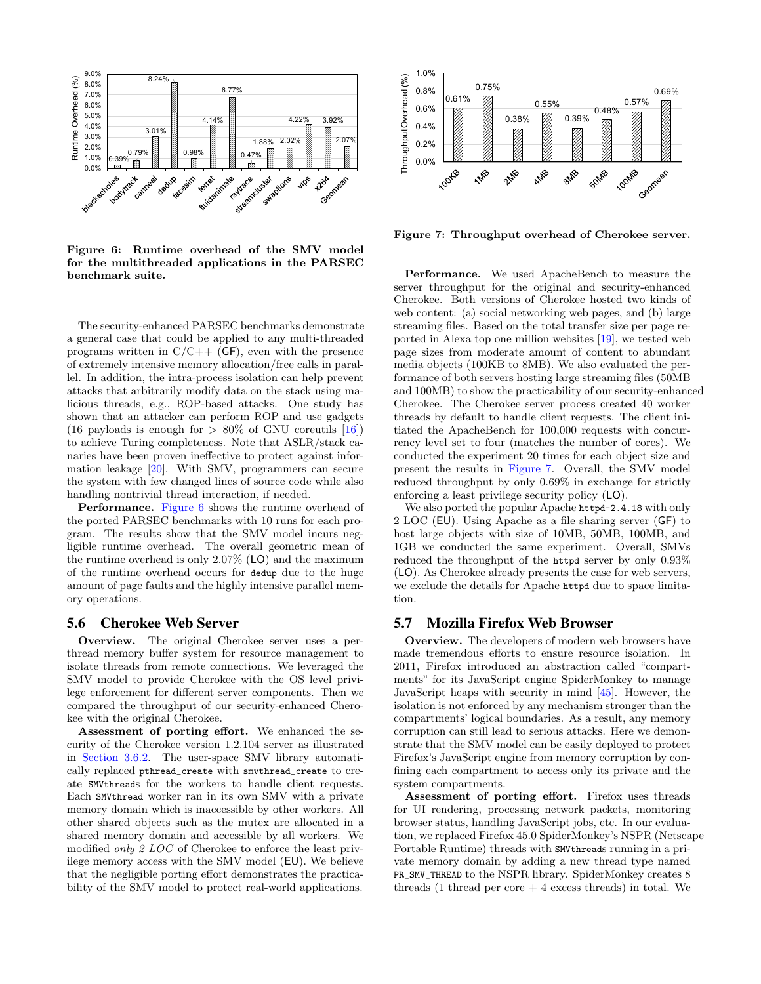

<span id="page-8-0"></span>Figure 6: Runtime overhead of the SMV model for the multithreaded applications in the PARSEC benchmark suite.

The security-enhanced PARSEC benchmarks demonstrate a general case that could be applied to any multi-threaded programs written in  $C/C++$  (GF), even with the presence of extremely intensive memory allocation/free calls in parallel. In addition, the intra-process isolation can help prevent attacks that arbitrarily modify data on the stack using malicious threads, e.g., ROP-based attacks. One study has shown that an attacker can perform ROP and use gadgets (16 payloads is enough for  $> 80\%$  of GNU coreutils [\[16\]](#page-11-9)) to achieve Turing completeness. Note that ASLR/stack canaries have been proven ineffective to protect against information leakage [\[20\]](#page-11-10). With SMV, programmers can secure the system with few changed lines of source code while also handling nontrivial thread interaction, if needed.

Performance. [Figure 6](#page-8-0) shows the runtime overhead of the ported PARSEC benchmarks with 10 runs for each program. The results show that the SMV model incurs negligible runtime overhead. The overall geometric mean of the runtime overhead is only 2.07% (LO) and the maximum of the runtime overhead occurs for dedup due to the huge amount of page faults and the highly intensive parallel memory operations.

#### 5.6 Cherokee Web Server

Overview. The original Cherokee server uses a perthread memory buffer system for resource management to isolate threads from remote connections. We leveraged the SMV model to provide Cherokee with the OS level privilege enforcement for different server components. Then we compared the throughput of our security-enhanced Cherokee with the original Cherokee.

Assessment of porting effort. We enhanced the security of the Cherokee version 1.2.104 server as illustrated in [Section 3.6.2.](#page-4-3) The user-space SMV library automatically replaced pthread\_create with smvthread\_create to create SMVthreads for the workers to handle client requests. Each SMVthread worker ran in its own SMV with a private memory domain which is inaccessible by other workers. All other shared objects such as the mutex are allocated in a shared memory domain and accessible by all workers. We modified *only 2 LOC* of Cherokee to enforce the least privilege memory access with the SMV model (EU). We believe that the negligible porting effort demonstrates the practicability of the SMV model to protect real-world applications.



<span id="page-8-1"></span>Figure 7: Throughput overhead of Cherokee server.

Performance. We used ApacheBench to measure the server throughput for the original and security-enhanced Cherokee. Both versions of Cherokee hosted two kinds of web content: (a) social networking web pages, and (b) large streaming files. Based on the total transfer size per page reported in Alexa top one million websites [\[19\]](#page-11-11), we tested web page sizes from moderate amount of content to abundant media objects (100KB to 8MB). We also evaluated the performance of both servers hosting large streaming files (50MB and 100MB) to show the practicability of our security-enhanced Cherokee. The Cherokee server process created 40 worker threads by default to handle client requests. The client initiated the ApacheBench for 100,000 requests with concurrency level set to four (matches the number of cores). We conducted the experiment 20 times for each object size and present the results in [Figure 7.](#page-8-1) Overall, the SMV model reduced throughput by only 0.69% in exchange for strictly enforcing a least privilege security policy (LO).

We also ported the popular Apache httpd-2.4.18 with only 2 LOC (EU). Using Apache as a file sharing server (GF) to host large objects with size of 10MB, 50MB, 100MB, and 1GB we conducted the same experiment. Overall, SMVs reduced the throughput of the httpd server by only 0.93% (LO). As Cherokee already presents the case for web servers, we exclude the details for Apache httpd due to space limitation.

#### 5.7 Mozilla Firefox Web Browser

Overview. The developers of modern web browsers have made tremendous efforts to ensure resource isolation. In 2011, Firefox introduced an abstraction called "compartments" for its JavaScript engine SpiderMonkey to manage JavaScript heaps with security in mind [\[45\]](#page-12-9). However, the isolation is not enforced by any mechanism stronger than the compartments' logical boundaries. As a result, any memory corruption can still lead to serious attacks. Here we demonstrate that the SMV model can be easily deployed to protect Firefox's JavaScript engine from memory corruption by confining each compartment to access only its private and the system compartments.

Assessment of porting effort. Firefox uses threads for UI rendering, processing network packets, monitoring browser status, handling JavaScript jobs, etc. In our evaluation, we replaced Firefox 45.0 SpiderMonkey's NSPR (Netscape Portable Runtime) threads with SMVthreads running in a private memory domain by adding a new thread type named PR\_SMV\_THREAD to the NSPR library. SpiderMonkey creates 8 threads (1 thread per core  $+$  4 excess threads) in total. We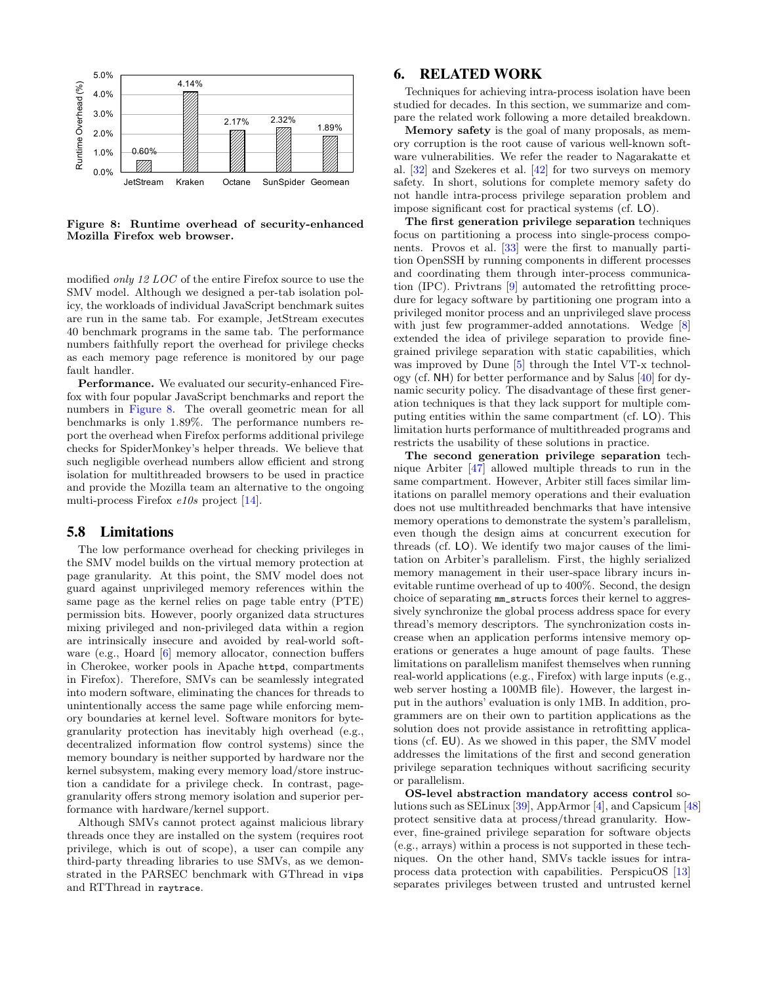

<span id="page-9-0"></span>Figure 8: Runtime overhead of security-enhanced Mozilla Firefox web browser.

modified only 12 LOC of the entire Firefox source to use the SMV model. Although we designed a per-tab isolation policy, the workloads of individual JavaScript benchmark suites are run in the same tab. For example, JetStream executes 40 benchmark programs in the same tab. The performance numbers faithfully report the overhead for privilege checks as each memory page reference is monitored by our page fault handler.

Performance. We evaluated our security-enhanced Firefox with four popular JavaScript benchmarks and report the numbers in [Figure 8.](#page-9-0) The overall geometric mean for all benchmarks is only 1.89%. The performance numbers report the overhead when Firefox performs additional privilege checks for SpiderMonkey's helper threads. We believe that such negligible overhead numbers allow efficient and strong isolation for multithreaded browsers to be used in practice and provide the Mozilla team an alternative to the ongoing multi-process Firefox e10s project [\[14\]](#page-11-12).

#### <span id="page-9-1"></span>5.8 Limitations

The low performance overhead for checking privileges in the SMV model builds on the virtual memory protection at page granularity. At this point, the SMV model does not guard against unprivileged memory references within the same page as the kernel relies on page table entry (PTE) permission bits. However, poorly organized data structures mixing privileged and non-privileged data within a region are intrinsically insecure and avoided by real-world software (e.g., Hoard [\[6\]](#page-11-13) memory allocator, connection buffers in Cherokee, worker pools in Apache httpd, compartments in Firefox). Therefore, SMVs can be seamlessly integrated into modern software, eliminating the chances for threads to unintentionally access the same page while enforcing memory boundaries at kernel level. Software monitors for bytegranularity protection has inevitably high overhead (e.g., decentralized information flow control systems) since the memory boundary is neither supported by hardware nor the kernel subsystem, making every memory load/store instruction a candidate for a privilege check. In contrast, pagegranularity offers strong memory isolation and superior performance with hardware/kernel support.

Although SMVs cannot protect against malicious library threads once they are installed on the system (requires root privilege, which is out of scope), a user can compile any third-party threading libraries to use SMVs, as we demonstrated in the PARSEC benchmark with GThread in vips and RTThread in raytrace.

# 6. RELATED WORK

Techniques for achieving intra-process isolation have been studied for decades. In this section, we summarize and compare the related work following a more detailed breakdown.

Memory safety is the goal of many proposals, as memory corruption is the root cause of various well-known software vulnerabilities. We refer the reader to Nagarakatte et al. [\[32\]](#page-12-10) and Szekeres et al. [\[42\]](#page-12-11) for two surveys on memory safety. In short, solutions for complete memory safety do not handle intra-process privilege separation problem and impose significant cost for practical systems (cf. LO).

The first generation privilege separation techniques focus on partitioning a process into single-process components. Provos et al. [\[33\]](#page-12-2) were the first to manually partition OpenSSH by running components in different processes and coordinating them through inter-process communication (IPC). Privtrans [\[9\]](#page-11-0) automated the retrofitting procedure for legacy software by partitioning one program into a privileged monitor process and an unprivileged slave process with just few programmer-added annotations. Wedge [\[8\]](#page-11-1) extended the idea of privilege separation to provide finegrained privilege separation with static capabilities, which was improved by Dune [\[5\]](#page-11-14) through the Intel VT-x technology (cf. NH) for better performance and by Salus [\[40\]](#page-12-3) for dynamic security policy. The disadvantage of these first generation techniques is that they lack support for multiple computing entities within the same compartment (cf. LO). This limitation hurts performance of multithreaded programs and restricts the usability of these solutions in practice.

The second generation privilege separation technique Arbiter [\[47\]](#page-12-4) allowed multiple threads to run in the same compartment. However, Arbiter still faces similar limitations on parallel memory operations and their evaluation does not use multithreaded benchmarks that have intensive memory operations to demonstrate the system's parallelism, even though the design aims at concurrent execution for threads (cf. LO). We identify two major causes of the limitation on Arbiter's parallelism. First, the highly serialized memory management in their user-space library incurs inevitable runtime overhead of up to 400%. Second, the design choice of separating mm\_structs forces their kernel to aggressively synchronize the global process address space for every thread's memory descriptors. The synchronization costs increase when an application performs intensive memory operations or generates a huge amount of page faults. These limitations on parallelism manifest themselves when running real-world applications (e.g., Firefox) with large inputs (e.g., web server hosting a 100MB file). However, the largest input in the authors' evaluation is only 1MB. In addition, programmers are on their own to partition applications as the solution does not provide assistance in retrofitting applications (cf. EU). As we showed in this paper, the SMV model addresses the limitations of the first and second generation privilege separation techniques without sacrificing security or parallelism.

OS-level abstraction mandatory access control solutions such as SELinux [\[39\]](#page-12-5), AppArmor [\[4\]](#page-11-2), and Capsicum [\[48\]](#page-12-12) protect sensitive data at process/thread granularity. However, fine-grained privilege separation for software objects (e.g., arrays) within a process is not supported in these techniques. On the other hand, SMVs tackle issues for intraprocess data protection with capabilities. PerspicuOS [\[13\]](#page-11-15) separates privileges between trusted and untrusted kernel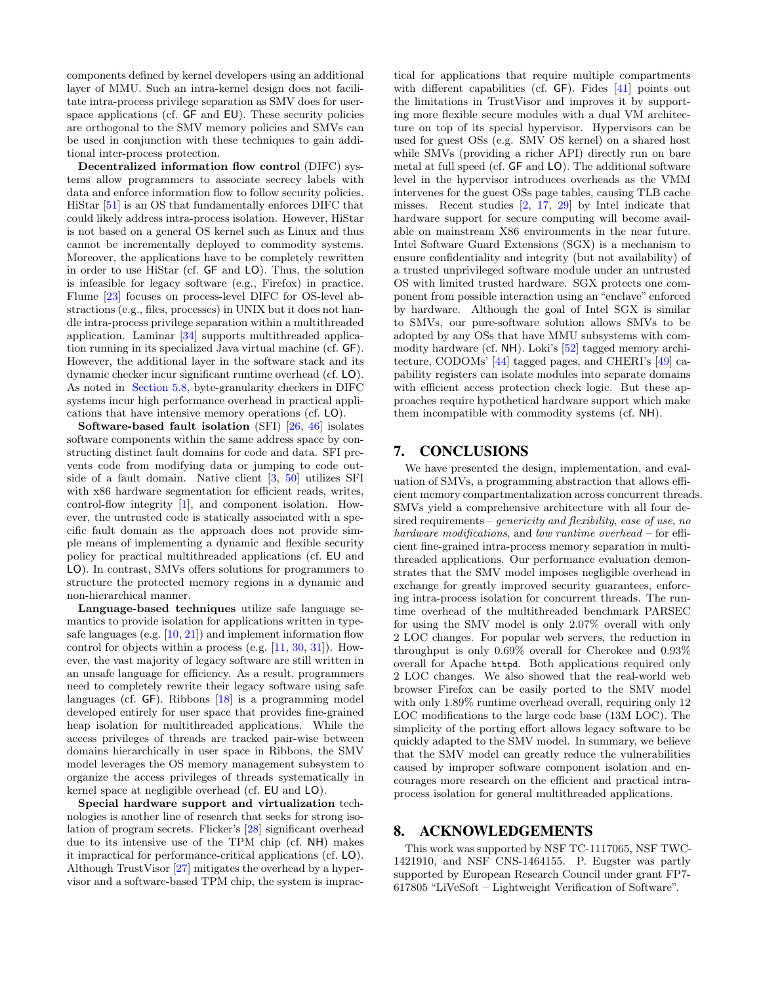components defined by kernel developers using an additional layer of MMU. Such an intra-kernel design does not facilitate intra-process privilege separation as SMV does for userspace applications (cf. GF and EU). These security policies are orthogonal to the SMV memory policies and SMVs can be used in conjunction with these techniques to gain additional inter-process protection.

Decentralized information flow control (DIFC) systems allow programmers to associate secrecy labels with data and enforce information flow to follow security policies. HiStar [\[51\]](#page-12-13) is an OS that fundamentally enforces DIFC that could likely address intra-process isolation. However, HiStar is not based on a general OS kernel such as Linux and thus cannot be incrementally deployed to commodity systems. Moreover, the applications have to be completely rewritten in order to use HiStar (cf. GF and LO). Thus, the solution is infeasible for legacy software (e.g., Firefox) in practice. Flume [\[23\]](#page-11-16) focuses on process-level DIFC for OS-level abstractions (e.g., files, processes) in UNIX but it does not handle intra-process privilege separation within a multithreaded application. Laminar [\[34\]](#page-12-14) supports multithreaded application running in its specialized Java virtual machine (cf. GF). However, the additional layer in the software stack and its dynamic checker incur significant runtime overhead (cf. LO). As noted in [Section 5.8,](#page-9-1) byte-granularity checkers in DIFC systems incur high performance overhead in practical applications that have intensive memory operations (cf. LO).

Software-based fault isolation (SFI) [\[26,](#page-12-15) [46\]](#page-12-16) isolates software components within the same address space by constructing distinct fault domains for code and data. SFI prevents code from modifying data or jumping to code outside of a fault domain. Native client [\[3,](#page-11-17) [50\]](#page-12-17) utilizes SFI with x86 hardware segmentation for efficient reads, writes, control-flow integrity [\[1\]](#page-11-18), and component isolation. However, the untrusted code is statically associated with a specific fault domain as the approach does not provide simple means of implementing a dynamic and flexible security policy for practical multithreaded applications (cf. EU and LO). In contrast, SMVs offers solutions for programmers to structure the protected memory regions in a dynamic and non-hierarchical manner.

Language-based techniques utilize safe language semantics to provide isolation for applications written in typesafe languages (e.g.  $[10, 21]$  $[10, 21]$  $[10, 21]$ ) and implement information flow control for objects within a process (e.g. [\[11,](#page-11-21) [30,](#page-12-18) [31\]](#page-12-19)). However, the vast majority of legacy software are still written in an unsafe language for efficiency. As a result, programmers need to completely rewrite their legacy software using safe languages (cf. GF). Ribbons [\[18\]](#page-11-22) is a programming model developed entirely for user space that provides fine-grained heap isolation for multithreaded applications. While the access privileges of threads are tracked pair-wise between domains hierarchically in user space in Ribbons, the SMV model leverages the OS memory management subsystem to organize the access privileges of threads systematically in kernel space at negligible overhead (cf. EU and LO).

Special hardware support and virtualization technologies is another line of research that seeks for strong isolation of program secrets. Flicker's [\[28\]](#page-12-20) significant overhead due to its intensive use of the TPM chip (cf. NH) makes it impractical for performance-critical applications (cf. LO). Although TrustVisor [\[27\]](#page-12-21) mitigates the overhead by a hypervisor and a software-based TPM chip, the system is impractical for applications that require multiple compartments with different capabilities (cf. GF). Fides [\[41\]](#page-12-22) points out the limitations in TrustVisor and improves it by supporting more flexible secure modules with a dual VM architecture on top of its special hypervisor. Hypervisors can be used for guest OSs (e.g. SMV OS kernel) on a shared host while SMVs (providing a richer API) directly run on bare metal at full speed (cf. GF and LO). The additional software level in the hypervisor introduces overheads as the VMM intervenes for the guest OSs page tables, causing TLB cache misses. Recent studies [\[2,](#page-11-23) [17,](#page-11-24) [29\]](#page-12-23) by Intel indicate that hardware support for secure computing will become available on mainstream X86 environments in the near future. Intel Software Guard Extensions (SGX) is a mechanism to ensure confidentiality and integrity (but not availability) of a trusted unprivileged software module under an untrusted OS with limited trusted hardware. SGX protects one component from possible interaction using an "enclave" enforced by hardware. Although the goal of Intel SGX is similar to SMVs, our pure-software solution allows SMVs to be adopted by any OSs that have MMU subsystems with commodity hardware (cf. NH). Loki's [\[52\]](#page-12-24) tagged memory architecture, CODOMs' [\[44\]](#page-12-25) tagged pages, and CHERI's [\[49\]](#page-12-26) capability registers can isolate modules into separate domains with efficient access protection check logic. But these approaches require hypothetical hardware support which make them incompatible with commodity systems (cf. NH).

# 7. CONCLUSIONS

We have presented the design, implementation, and evaluation of SMVs, a programming abstraction that allows efficient memory compartmentalization across concurrent threads. SMVs yield a comprehensive architecture with all four desired requirements – *genericity* and *flexibility*, ease of use, no hardware modifications, and low runtime overhead – for efficient fine-grained intra-process memory separation in multithreaded applications. Our performance evaluation demonstrates that the SMV model imposes negligible overhead in exchange for greatly improved security guarantees, enforcing intra-process isolation for concurrent threads. The runtime overhead of the multithreaded benchmark PARSEC for using the SMV model is only 2.07% overall with only 2 LOC changes. For popular web servers, the reduction in throughput is only 0.69% overall for Cherokee and 0.93% overall for Apache httpd. Both applications required only 2 LOC changes. We also showed that the real-world web browser Firefox can be easily ported to the SMV model with only 1.89% runtime overhead overall, requiring only 12 LOC modifications to the large code base (13M LOC). The simplicity of the porting effort allows legacy software to be quickly adapted to the SMV model. In summary, we believe that the SMV model can greatly reduce the vulnerabilities caused by improper software component isolation and encourages more research on the efficient and practical intraprocess isolation for general multithreaded applications.

## 8. ACKNOWLEDGEMENTS

This work was supported by NSF TC-1117065, NSF TWC-1421910, and NSF CNS-1464155. P. Eugster was partly supported by European Research Council under grant FP7- 617805 "LiVeSoft – Lightweight Verification of Software".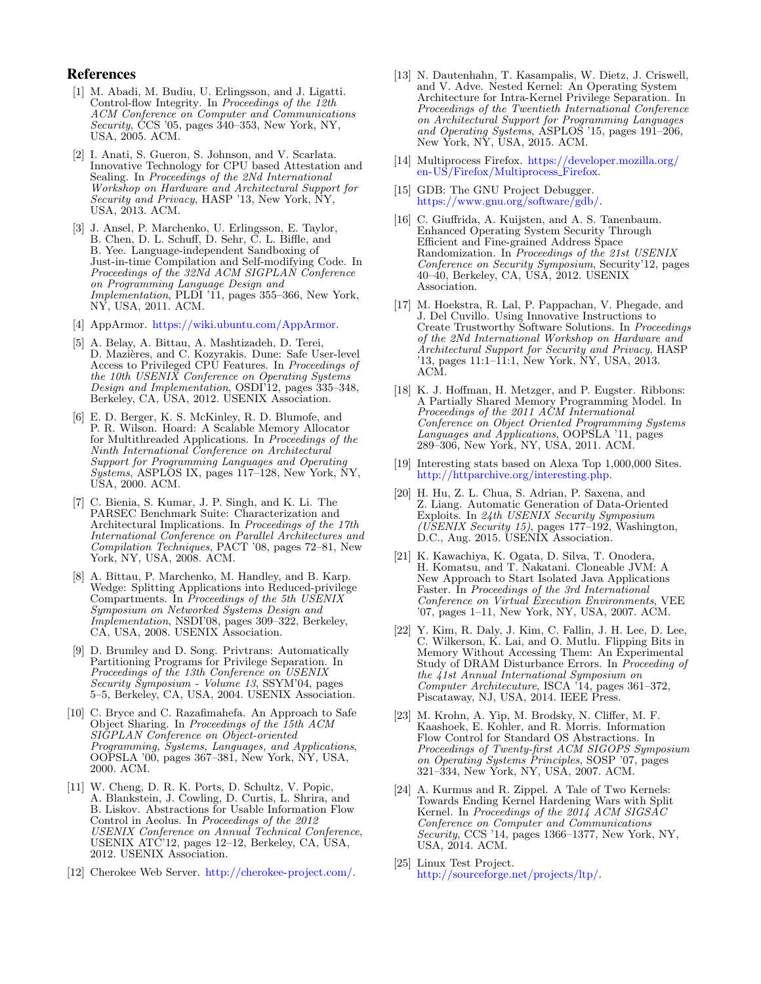#### References

- <span id="page-11-18"></span>[1] M. Abadi, M. Budiu, U. Erlingsson, and J. Ligatti. Control-flow Integrity. In Proceedings of the 12th ACM Conference on Computer and Communications Security, CCS '05, pages  $340-353$ , New York, NY, USA, 2005. ACM.
- <span id="page-11-23"></span>[2] I. Anati, S. Gueron, S. Johnson, and V. Scarlata. Innovative Technology for CPU based Attestation and Sealing. In Proceedings of the 2Nd International Workshop on Hardware and Architectural Support for Security and Privacy, HASP '13, New York, NY, USA, 2013. ACM.
- <span id="page-11-17"></span>[3] J. Ansel, P. Marchenko, U. Erlingsson, E. Taylor, B. Chen, D. L. Schuff, D. Sehr, C. L. Biffle, and B. Yee. Language-independent Sandboxing of Just-in-time Compilation and Self-modifying Code. In Proceedings of the 32Nd ACM SIGPLAN Conference on Programming Language Design and Implementation, PLDI '11, pages 355-366, New York, NY, USA, 2011. ACM.
- <span id="page-11-2"></span>[4] AppArmor. [https://wiki.ubuntu.com/AppArmor.](https://wiki.ubuntu.com/AppArmor)
- <span id="page-11-14"></span>[5] A. Belay, A. Bittau, A. Mashtizadeh, D. Terei, D. Mazières, and C. Kozyrakis. Dune: Safe User-level Access to Privileged CPU Features. In Proceedings of the 10th USENIX Conference on Operating Systems Design and Implementation, OSDI'12, pages 335-348, Berkeley, CA, USA, 2012. USENIX Association.
- <span id="page-11-13"></span>[6] E. D. Berger, K. S. McKinley, R. D. Blumofe, and P. R. Wilson. Hoard: A Scalable Memory Allocator for Multithreaded Applications. In Proceedings of the Ninth International Conference on Architectural Support for Programming Languages and Operating  $Sy\overline{s}$ tems, ASPL $\overline{S}$ S IX, pages 117–128, New York, NY, USA, 2000. ACM.
- <span id="page-11-8"></span>[7] C. Bienia, S. Kumar, J. P. Singh, and K. Li. The PARSEC Benchmark Suite: Characterization and Architectural Implications. In Proceedings of the 17th International Conference on Parallel Architectures and Compilation Techniques, PACT '08, pages 72–81, New York, NY, USA, 2008. ACM.
- <span id="page-11-1"></span>[8] A. Bittau, P. Marchenko, M. Handley, and B. Karp. Wedge: Splitting Applications into Reduced-privilege Compartments. In Proceedings of the 5th USENIX Symposium on Networked Systems Design and Implementation, NSDI'08, pages 309–322, Berkeley, CA, USA, 2008. USENIX Association.
- <span id="page-11-0"></span>[9] D. Brumley and D. Song. Privtrans: Automatically Partitioning Programs for Privilege Separation. In Proceedings of the 13th Conference on USENIX Security Symposium - Volume 13, SSYM'04, pages 5–5, Berkeley, CA, USA, 2004. USENIX Association.
- <span id="page-11-19"></span>[10] C. Bryce and C. Razafimahefa. An Approach to Safe Object Sharing. In Proceedings of the 15th ACM SIGPLAN Conference on Object-oriented Programming, Systems, Languages, and Applications, OOPSLA '00, pages 367–381, New York, NY, USA, 2000. ACM.
- <span id="page-11-21"></span>[11] W. Cheng, D. R. K. Ports, D. Schultz, V. Popic, A. Blankstein, J. Cowling, D. Curtis, L. Shrira, and B. Liskov. Abstractions for Usable Information Flow Control in Aeolus. In Proceedings of the 2012 USENIX Conference on Annual Technical Conference, USENIX ATC'12, pages 12–12, Berkeley, CA, USA, 2012. USENIX Association.
- <span id="page-11-4"></span>[12] Cherokee Web Server. [http://cherokee-project.com/.](http://cherokee-project.com/)
- <span id="page-11-15"></span>[13] N. Dautenhahn, T. Kasampalis, W. Dietz, J. Criswell, and V. Adve. Nested Kernel: An Operating System Architecture for Intra-Kernel Privilege Separation. In Proceedings of the Twentieth International Conference on Architectural Support for Programming Languages and Operating Systems, ASPLOS '15, pages 191–206, New York, NY, USA, 2015. ACM.
- <span id="page-11-12"></span>[14] Multiprocess Firefox. [https://developer.mozilla.org/](https://developer.mozilla.org/en-US/Firefox/Multiprocess_Firefox) [en-US/Firefox/Multiprocess](https://developer.mozilla.org/en-US/Firefox/Multiprocess_Firefox) Firefox.
- <span id="page-11-5"></span>[15] GDB: The GNU Project Debugger. [https://www.gnu.org/software/gdb/.](https://www.gnu.org/software/gdb/)
- <span id="page-11-9"></span>[16] C. Giuffrida, A. Kuijsten, and A. S. Tanenbaum. Enhanced Operating System Security Through Efficient and Fine-grained Address Space Randomization. In Proceedings of the 21st USENIX Conference on Security Symposium, Security'12, pages 40–40, Berkeley, CA, USA, 2012. USENIX Association.
- <span id="page-11-24"></span>[17] M. Hoekstra, R. Lal, P. Pappachan, V. Phegade, and J. Del Cuvillo. Using Innovative Instructions to Create Trustworthy Software Solutions. In Proceedings of the 2Nd International Workshop on Hardware and Architectural Support for Security and Privacy, HASP '13, pages 11:1–11:1, New York, NY, USA, 2013. ACM.
- <span id="page-11-22"></span>[18] K. J. Hoffman, H. Metzger, and P. Eugster. Ribbons: A Partially Shared Memory Programming Model. In Proceedings of the 2011 ACM International Conference on Object Oriented Programming Systems Languages and Applications, OOPSLA '11, pages 289–306, New York, NY, USA, 2011. ACM.
- <span id="page-11-11"></span>[19] Interesting stats based on Alexa Top 1,000,000 Sites. [http://httparchive.org/interesting.php.](http://httparchive.org/interesting.php)
- <span id="page-11-10"></span>[20] H. Hu, Z. L. Chua, S. Adrian, P. Saxena, and Z. Liang. Automatic Generation of Data-Oriented Exploits. In 24th USENIX Security Symposium (USENIX Security 15), pages  $177-192$ , Washington, D.C., Aug. 2015. USENIX Association.
- <span id="page-11-20"></span>[21] K. Kawachiya, K. Ogata, D. Silva, T. Onodera, H. Komatsu, and T. Nakatani. Cloneable JVM: A New Approach to Start Isolated Java Applications Faster. In Proceedings of the 3rd International Conference on Virtual Execution Environments, VEE '07, pages 1–11, New York, NY, USA, 2007. ACM.
- <span id="page-11-6"></span>[22] Y. Kim, R. Daly, J. Kim, C. Fallin, J. H. Lee, D. Lee, C. Wilkerson, K. Lai, and O. Mutlu. Flipping Bits in Memory Without Accessing Them: An Experimental Study of DRAM Disturbance Errors. In Proceeding of the 41st Annual International Symposium on Computer Architecuture, ISCA '14, pages 361–372, Piscataway, NJ, USA, 2014. IEEE Press.
- <span id="page-11-16"></span>[23] M. Krohn, A. Yip, M. Brodsky, N. Cliffer, M. F. Kaashoek, E. Kohler, and R. Morris. Information Flow Control for Standard OS Abstractions. In Proceedings of Twenty-first ACM SIGOPS Symposium on Operating Systems Principles, SOSP '07, pages 321–334, New York, NY, USA, 2007. ACM.
- <span id="page-11-3"></span>[24] A. Kurmus and R. Zippel. A Tale of Two Kernels: Towards Ending Kernel Hardening Wars with Split Kernel. In Proceedings of the 2014 ACM SIGSAC Conference on Computer and Communications Security, CCS '14, pages 1366–1377, New York, NY, USA, 2014. ACM.
- <span id="page-11-7"></span>[25] Linux Test Project. [http://sourceforge.net/projects/ltp/.](http://sourceforge.net/projects/ltp/)